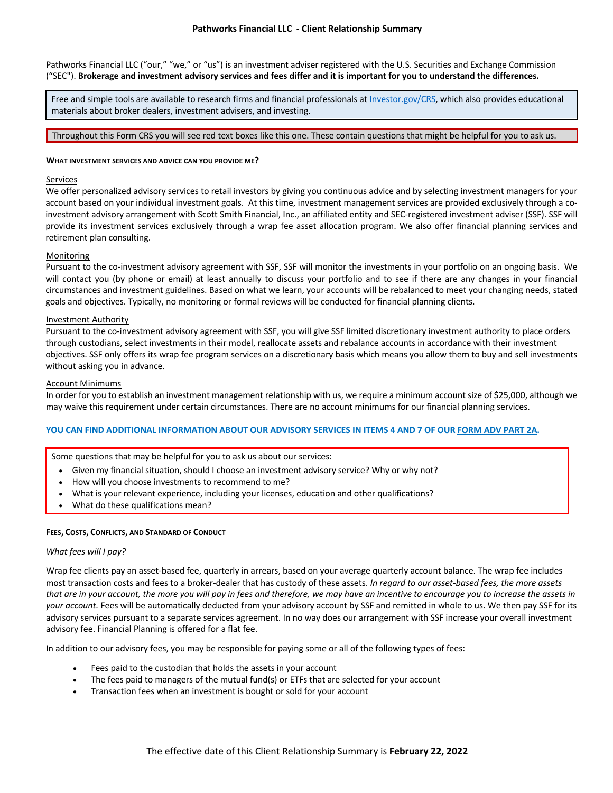Pathworks Financial LLC ("our," "we," or "us") is an investment adviser registered with the U.S. Securities and Exchange Commission ("SEC"). **Brokerage and investment advisory services and fees differ and it is important for you to understand the differences.**

Free and simple tools are available to research firms and financial professionals a[t Investor.gov/CRS,](https://www.investor.gov/CRS) which also provides educational materials about broker dealers, investment advisers, and investing.

# Throughout this Form CRS you will see red text boxes like this one. These contain questions that might be helpful for you to ask us.

### **WHAT INVESTMENT SERVICES AND ADVICE CAN YOU PROVIDE ME?**

# Services

We offer personalized advisory services to retail investors by giving you continuous advice and by selecting investment managers for your account based on your individual investment goals. At this time, investment management services are provided exclusively through a coinvestment advisory arrangement with Scott Smith Financial, Inc., an affiliated entity and SEC-registered investment adviser (SSF). SSF will provide its investment services exclusively through a wrap fee asset allocation program. We also offer financial planning services and retirement plan consulting.

# Monitoring

Pursuant to the co-investment advisory agreement with SSF, SSF will monitor the investments in your portfolio on an ongoing basis. We will contact you (by phone or email) at least annually to discuss your portfolio and to see if there are any changes in your financial circumstances and investment guidelines. Based on what we learn, your accounts will be rebalanced to meet your changing needs, stated goals and objectives. Typically, no monitoring or formal reviews will be conducted for financial planning clients.

### Investment Authority

Pursuant to the co-investment advisory agreement with SSF, you will give SSF limited discretionary investment authority to place orders through custodians, select investments in their model, reallocate assets and rebalance accounts in accordance with their investment objectives. SSF only offers its wrap fee program services on a discretionary basis which means you allow them to buy and sell investments without asking you in advance.

### Account Minimums

In order for you to establish an investment management relationship with us, we require a minimum account size of \$25,000, although we may waive this requirement under certain circumstances. There are no account minimums for our financial planning services.

# **YOU CAN FIND ADDITIONAL INFORMATION ABOUT OUR ADVISORY SERVICES IN ITEMS 4 AND 7 OF OUR [FORM ADV PART 2A.](https://files.adviserinfo.sec.gov/IAPD/Content/Common/crd_iapd_Brochure.aspx?BRCHR_VRSN_ID=747682)**

Some questions that may be helpful for you to ask us about our services:

- Given my financial situation, should I choose an investment advisory service? Why or why not?
- How will you choose investments to recommend to me?
- What is your relevant experience, including your licenses, education and other qualifications?
- What do these qualifications mean?

### **FEES, COSTS, CONFLICTS, AND STANDARD OF CONDUCT**

### *What fees will I pay?*

Wrap fee clients pay an asset-based fee, quarterly in arrears, based on your average quarterly account balance. The wrap fee includes most transaction costs and fees to a broker-dealer that has custody of these assets. *In regard to our asset-based fees, the more assets that are in your account, the more you will pay in fees and therefore, we may have an incentive to encourage you to increase the assets in your account.* Fees will be automatically deducted from your advisory account by SSF and remitted in whole to us. We then pay SSF for its advisory services pursuant to a separate services agreement. In no way does our arrangement with SSF increase your overall investment advisory fee. Financial Planning is offered for a flat fee.

In addition to our advisory fees, you may be responsible for paying some or all of the following types of fees:

- Fees paid to the custodian that holds the assets in your account
- The fees paid to managers of the mutual fund(s) or ETFs that are selected for your account
- Transaction fees when an investment is bought or sold for your account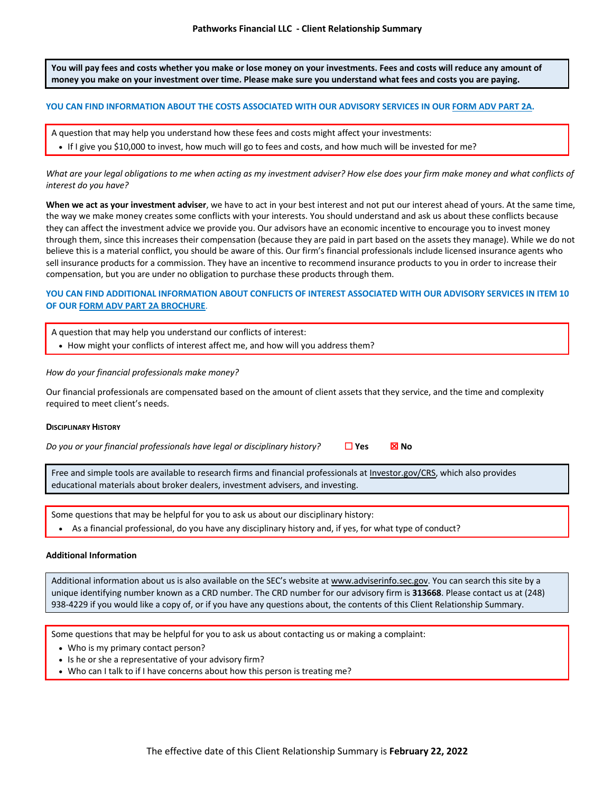**You will pay fees and costs whether you make or lose money on your investments. Fees and costs will reduce any amount of money you make on your investment over time. Please make sure you understand what fees and costs you are paying.**

### **YOU CAN FIND INFORMATION ABOUT THE COSTS ASSOCIATED WITH OUR ADVISORY SERVICES IN OUR [FORM ADV PART 2A.](https://files.adviserinfo.sec.gov/IAPD/Content/Common/crd_iapd_Brochure.aspx?BRCHR_VRSN_ID=747682)**

- A question that may help you understand how these fees and costs might affect your investments:
	- If I give you \$10,000 to invest, how much will go to fees and costs, and how much will be invested for me?

*What are your legal obligations to me when acting as my investment adviser? How else does your firm make money and what conflicts of interest do you have?*

**When we act as your investment adviser**, we have to act in your best interest and not put our interest ahead of yours. At the same time, the way we make money creates some conflicts with your interests. You should understand and ask us about these conflicts because they can affect the investment advice we provide you. Our advisors have an economic incentive to encourage you to invest money through them, since this increases their compensation (because they are paid in part based on the assets they manage). While we do not believe this is a material conflict, you should be aware of this. Our firm's financial professionals include licensed insurance agents who sell insurance products for a commission. They have an incentive to recommend insurance products to you in order to increase their compensation, but you are under no obligation to purchase these products through them.

# **YOU CAN FIND ADDITIONAL INFORMATION ABOUT CONFLICTS OF INTEREST ASSOCIATED WITH OUR ADVISORY SERVICES IN ITEM 10 OF OUR [FORM ADV PART 2A BROCHURE](https://files.adviserinfo.sec.gov/IAPD/Content/Common/crd_iapd_Brochure.aspx?BRCHR_VRSN_ID=747682)**.

| A question that may help you understand our conflicts of interest:               |
|----------------------------------------------------------------------------------|
| • How might your conflicts of interest affect me, and how will you address them? |

### *How do your financial professionals make money?*

Our financial professionals are compensated based on the amount of client assets that they service, and the time and complexity required to meet client's needs.

### **DISCIPLINARY HISTORY**

*Do you or your financial professionals have legal or disciplinary history?* □ Yes **⊠ No** 

Free and simple tools are available to research firms and financial professionals at [Investor.gov/CRS,](https://www.investor.gov/CRS) which also provides educational materials about broker dealers, investment advisers, and investing.

Some questions that may be helpful for you to ask us about our disciplinary history:

• As a financial professional, do you have any disciplinary history and, if yes, for what type of conduct?

# **Additional Information**

Additional information about us is also available on the SEC's website at [www.adviserinfo.sec.gov.](https://adviserinfo.sec.gov) You can search this site by a unique identifying number known as a CRD number. The CRD number for our advisory firm is **313668**. Please contact us at (248) 938-4229 if you would like a copy of, or if you have any questions about, the contents of this Client Relationship Summary.

Some questions that may be helpful for you to ask us about contacting us or making a complaint:

- Who is my primary contact person?
- Is he or she a representative of your advisory firm?
- Who can I talk to if I have concerns about how this person is treating me?